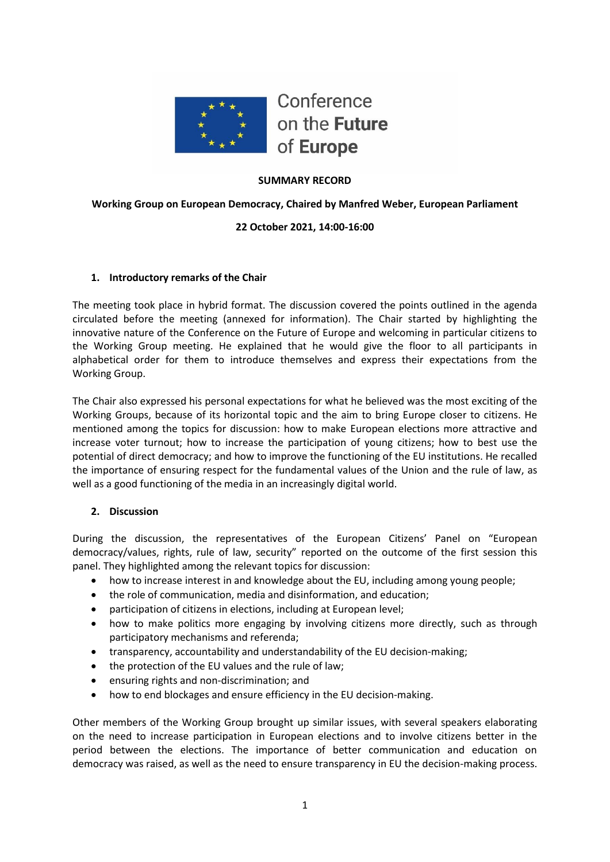

### **SUMMARY RECORD**

**Working Group on European Democracy, Chaired by Manfred Weber, European Parliament**

### **22 October 2021, 14:00-16:00**

#### **1. Introductory remarks of the Chair**

The meeting took place in hybrid format. The discussion covered the points outlined in the agenda circulated before the meeting (annexed for information). The Chair started by highlighting the innovative nature of the Conference on the Future of Europe and welcoming in particular citizens to the Working Group meeting. He explained that he would give the floor to all participants in alphabetical order for them to introduce themselves and express their expectations from the Working Group.

The Chair also expressed his personal expectations for what he believed was the most exciting of the Working Groups, because of its horizontal topic and the aim to bring Europe closer to citizens. He mentioned among the topics for discussion: how to make European elections more attractive and increase voter turnout; how to increase the participation of young citizens; how to best use the potential of direct democracy; and how to improve the functioning of the EU institutions. He recalled the importance of ensuring respect for the fundamental values of the Union and the rule of law, as well as a good functioning of the media in an increasingly digital world.

#### **2. Discussion**

During the discussion, the representatives of the European Citizens' Panel on "European democracy/values, rights, rule of law, security" reported on the outcome of the first session this panel. They highlighted among the relevant topics for discussion:

- how to increase interest in and knowledge about the EU, including among young people;
- the role of communication, media and disinformation, and education;
- participation of citizens in elections, including at European level;
- how to make politics more engaging by involving citizens more directly, such as through participatory mechanisms and referenda;
- transparency, accountability and understandability of the EU decision-making;
- the protection of the EU values and the rule of law;
- ensuring rights and non-discrimination; and
- how to end blockages and ensure efficiency in the EU decision-making.

Other members of the Working Group brought up similar issues, with several speakers elaborating on the need to increase participation in European elections and to involve citizens better in the period between the elections. The importance of better communication and education on democracy was raised, as well as the need to ensure transparency in EU the decision-making process.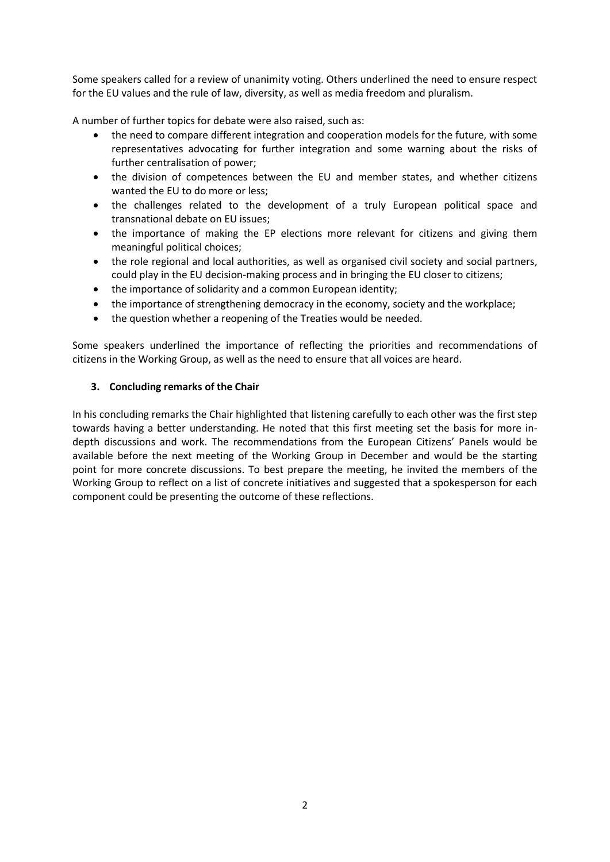Some speakers called for a review of unanimity voting. Others underlined the need to ensure respect for the EU values and the rule of law, diversity, as well as media freedom and pluralism.

A number of further topics for debate were also raised, such as:

- the need to compare different integration and cooperation models for the future, with some representatives advocating for further integration and some warning about the risks of further centralisation of power;
- the division of competences between the EU and member states, and whether citizens wanted the EU to do more or less;
- the challenges related to the development of a truly European political space and transnational debate on EU issues;
- the importance of making the EP elections more relevant for citizens and giving them meaningful political choices;
- the role regional and local authorities, as well as organised civil society and social partners, could play in the EU decision-making process and in bringing the EU closer to citizens;
- the importance of solidarity and a common European identity;
- the importance of strengthening democracy in the economy, society and the workplace;
- the question whether a reopening of the Treaties would be needed.

Some speakers underlined the importance of reflecting the priorities and recommendations of citizens in the Working Group, as well as the need to ensure that all voices are heard.

#### **3. Concluding remarks of the Chair**

In his concluding remarks the Chair highlighted that listening carefully to each other was the first step towards having a better understanding. He noted that this first meeting set the basis for more indepth discussions and work. The recommendations from the European Citizens' Panels would be available before the next meeting of the Working Group in December and would be the starting point for more concrete discussions. To best prepare the meeting, he invited the members of the Working Group to reflect on a list of concrete initiatives and suggested that a spokesperson for each component could be presenting the outcome of these reflections.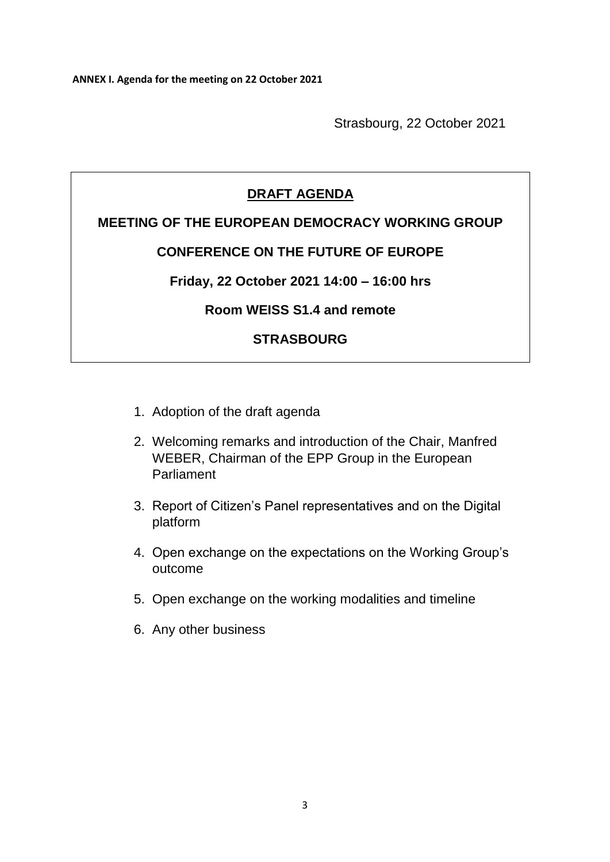Strasbourg, 22 October 2021

# **DRAFT AGENDA**

### **MEETING OF THE EUROPEAN DEMOCRACY WORKING GROUP**

## **CONFERENCE ON THE FUTURE OF EUROPE**

### **Friday, 22 October 2021 14:00 – 16:00 hrs**

## **Room WEISS S1.4 and remote**

# **STRASBOURG**

- 1. Adoption of the draft agenda
- 2. Welcoming remarks and introduction of the Chair, Manfred WEBER, Chairman of the EPP Group in the European Parliament
- 3. Report of Citizen's Panel representatives and on the Digital platform
- 4. Open exchange on the expectations on the Working Group's outcome
- 5. Open exchange on the working modalities and timeline
- 6. Any other business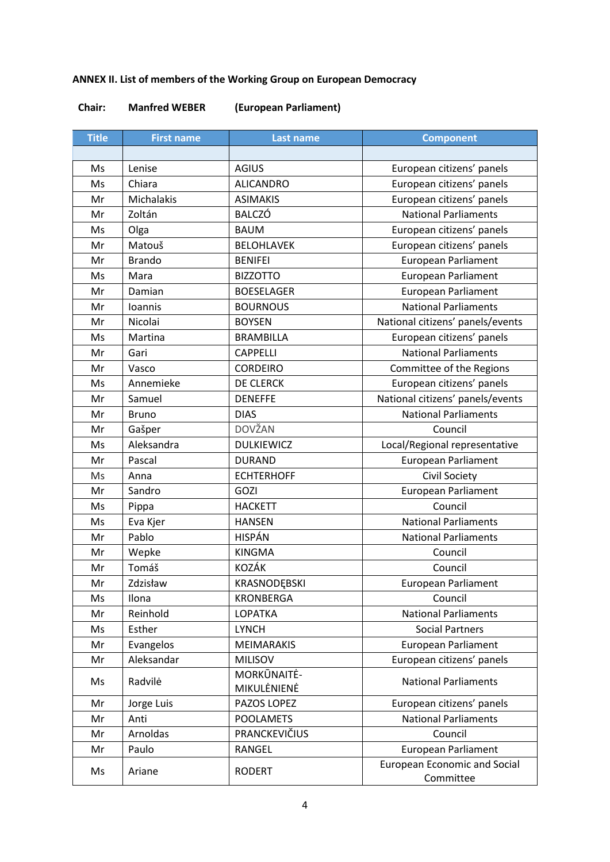# **ANNEX II. List of members of the Working Group on European Democracy**

### **Chair: Manfred WEBER (European Parliament)**

| <b>Title</b> | <b>First name</b> | <b>Last name</b>  | <b>Component</b>                                 |
|--------------|-------------------|-------------------|--------------------------------------------------|
|              |                   |                   |                                                  |
| Ms           | Lenise            | <b>AGIUS</b>      | European citizens' panels                        |
| Ms           | Chiara            | <b>ALICANDRO</b>  | European citizens' panels                        |
| Mr           | Michalakis        | <b>ASIMAKIS</b>   | European citizens' panels                        |
| Mr           | Zoltán            | <b>BALCZÓ</b>     | <b>National Parliaments</b>                      |
| Ms           | Olga              | <b>BAUM</b>       | European citizens' panels                        |
| Mr           | Matouš            | <b>BELOHLAVEK</b> | European citizens' panels                        |
| Mr           | <b>Brando</b>     | <b>BENIFEI</b>    | <b>European Parliament</b>                       |
| Ms           | Mara              | <b>BIZZOTTO</b>   | <b>European Parliament</b>                       |
| Mr           | Damian            | <b>BOESELAGER</b> | <b>European Parliament</b>                       |
| Mr           | Ioannis           | <b>BOURNOUS</b>   | <b>National Parliaments</b>                      |
| Mr           | Nicolai           | <b>BOYSEN</b>     | National citizens' panels/events                 |
| Ms           | Martina           | <b>BRAMBILLA</b>  | European citizens' panels                        |
| Mr           | Gari              | <b>CAPPELLI</b>   | <b>National Parliaments</b>                      |
| Mr           | Vasco             | <b>CORDEIRO</b>   | Committee of the Regions                         |
| Ms           | Annemieke         | DE CLERCK         | European citizens' panels                        |
| Mr           | Samuel            | <b>DENEFFE</b>    | National citizens' panels/events                 |
| Mr           | <b>Bruno</b>      | <b>DIAS</b>       | <b>National Parliaments</b>                      |
| Mr           | Gašper            | <b>DOVŽAN</b>     | Council                                          |
| Ms           | Aleksandra        | <b>DULKIEWICZ</b> | Local/Regional representative                    |
| Mr           | Pascal            | <b>DURAND</b>     | <b>European Parliament</b>                       |
| Ms           | Anna              | <b>ECHTERHOFF</b> | Civil Society                                    |
| Mr           | Sandro            | GOZI              | European Parliament                              |
| Ms           | Pippa             | <b>HACKETT</b>    | Council                                          |
| Ms           | Eva Kjer          | <b>HANSEN</b>     | <b>National Parliaments</b>                      |
| Mr           | Pablo             | <b>HISPÁN</b>     | <b>National Parliaments</b>                      |
| Mr           | Wepke             | <b>KINGMA</b>     | Council                                          |
| Mr           | Tomáš             | <b>KOZÁK</b>      | Council                                          |
| Mr           | Zdzisław          | KRASNODEBSKI      | <b>European Parliament</b>                       |
| Ms           | Ilona             | KRONBERGA         | Council                                          |
| Mr           | Reinhold          | LOPATKA           | <b>National Parliaments</b>                      |
| Ms           | Esther            | <b>LYNCH</b>      | <b>Social Partners</b>                           |
| Mr           | Evangelos         | <b>MEIMARAKIS</b> | European Parliament                              |
| Mr           | Aleksandar        | <b>MILISOV</b>    | European citizens' panels                        |
| Ms           | Radvilė           | MORKŪNAITĖ-       | <b>National Parliaments</b>                      |
|              |                   | MIKULĖNIENĖ       |                                                  |
| Mr           | Jorge Luis        | PAZOS LOPEZ       | European citizens' panels                        |
| Mr           | Anti              | <b>POOLAMETS</b>  | <b>National Parliaments</b>                      |
| Mr           | Arnoldas          | PRANCKEVIČIUS     | Council                                          |
| Mr           | Paulo             | RANGEL            | <b>European Parliament</b>                       |
| Ms           | Ariane            | <b>RODERT</b>     | <b>European Economic and Social</b><br>Committee |